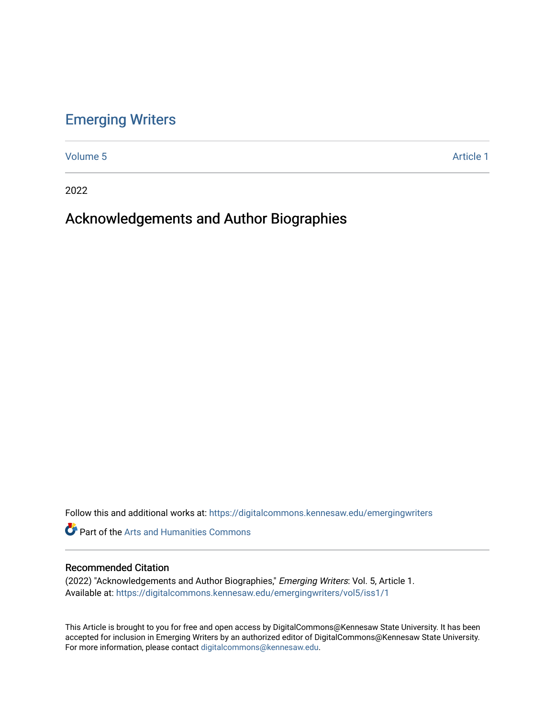## [Emerging Writers](https://digitalcommons.kennesaw.edu/emergingwriters)

[Volume 5](https://digitalcommons.kennesaw.edu/emergingwriters/vol5) Article 1

2022

# Acknowledgements and Author Biographies

Follow this and additional works at: [https://digitalcommons.kennesaw.edu/emergingwriters](https://digitalcommons.kennesaw.edu/emergingwriters?utm_source=digitalcommons.kennesaw.edu%2Femergingwriters%2Fvol5%2Fiss1%2F1&utm_medium=PDF&utm_campaign=PDFCoverPages) 

Part of the [Arts and Humanities Commons](http://network.bepress.com/hgg/discipline/438?utm_source=digitalcommons.kennesaw.edu%2Femergingwriters%2Fvol5%2Fiss1%2F1&utm_medium=PDF&utm_campaign=PDFCoverPages) 

#### Recommended Citation

(2022) "Acknowledgements and Author Biographies," Emerging Writers: Vol. 5, Article 1. Available at: [https://digitalcommons.kennesaw.edu/emergingwriters/vol5/iss1/1](https://digitalcommons.kennesaw.edu/emergingwriters/vol5/iss1/1?utm_source=digitalcommons.kennesaw.edu%2Femergingwriters%2Fvol5%2Fiss1%2F1&utm_medium=PDF&utm_campaign=PDFCoverPages) 

This Article is brought to you for free and open access by DigitalCommons@Kennesaw State University. It has been accepted for inclusion in Emerging Writers by an authorized editor of DigitalCommons@Kennesaw State University. For more information, please contact [digitalcommons@kennesaw.edu.](mailto:digitalcommons@kennesaw.edu)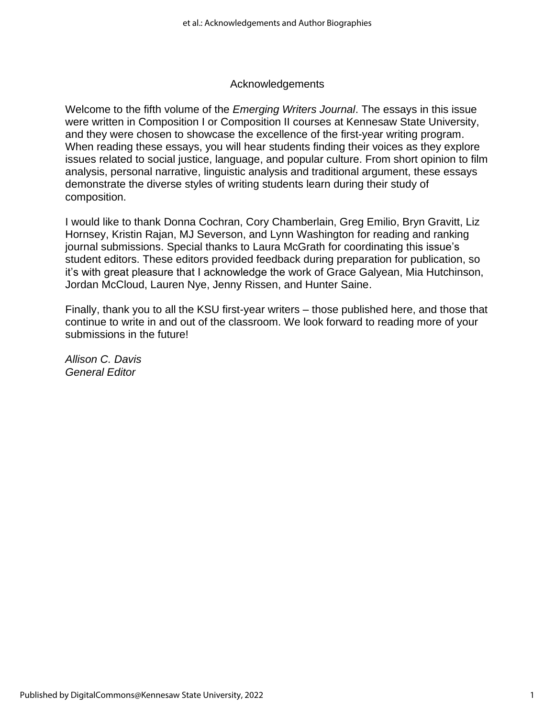### Acknowledgements

Welcome to the fifth volume of the *Emerging Writers Journal*. The essays in this issue were written in Composition I or Composition II courses at Kennesaw State University, and they were chosen to showcase the excellence of the first-year writing program. When reading these essays, you will hear students finding their voices as they explore issues related to social justice, language, and popular culture. From short opinion to film analysis, personal narrative, linguistic analysis and traditional argument, these essays demonstrate the diverse styles of writing students learn during their study of composition.

I would like to thank Donna Cochran, Cory Chamberlain, Greg Emilio, Bryn Gravitt, Liz Hornsey, Kristin Rajan, MJ Severson, and Lynn Washington for reading and ranking journal submissions. Special thanks to Laura McGrath for coordinating this issue's student editors. These editors provided feedback during preparation for publication, so it's with great pleasure that I acknowledge the work of Grace Galyean, Mia Hutchinson, Jordan McCloud, Lauren Nye, Jenny Rissen, and Hunter Saine.

Finally, thank you to all the KSU first-year writers – those published here, and those that continue to write in and out of the classroom. We look forward to reading more of your submissions in the future!

*Allison C. Davis General Editor*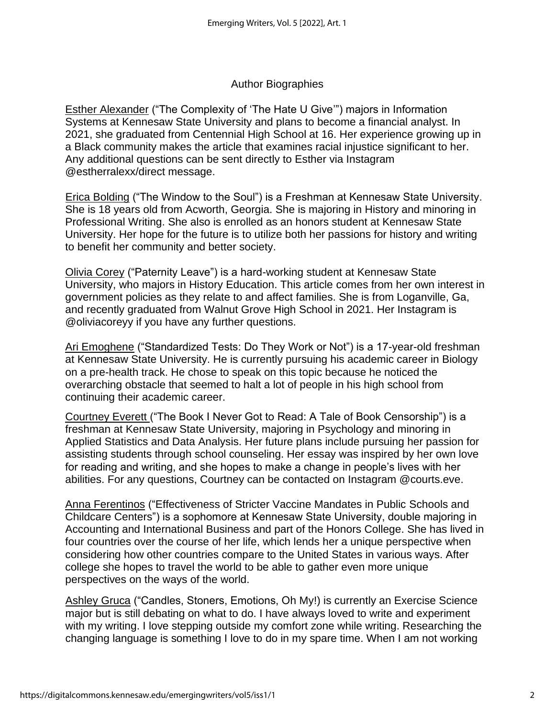## Author Biographies

Esther Alexander ("The Complexity of 'The Hate U Give'") majors in Information Systems at Kennesaw State University and plans to become a financial analyst. In 2021, she graduated from Centennial High School at 16. Her experience growing up in a Black community makes the article that examines racial injustice significant to her. Any additional questions can be sent directly to Esther via Instagram @estherralexx/direct message.

Erica Bolding ("The Window to the Soul") is a Freshman at Kennesaw State University. She is 18 years old from Acworth, Georgia. She is majoring in History and minoring in Professional Writing. She also is enrolled as an honors student at Kennesaw State University. Her hope for the future is to utilize both her passions for history and writing to benefit her community and better society.

Olivia Corey ("Paternity Leave") is a hard-working student at Kennesaw State University, who majors in History Education. This article comes from her own interest in government policies as they relate to and affect families. She is from Loganville, Ga, and recently graduated from Walnut Grove High School in 2021. Her Instagram is @oliviacoreyy if you have any further questions.

Ari Emoghene ("Standardized Tests: Do They Work or Not") is a 17-year-old freshman at Kennesaw State University. He is currently pursuing his academic career in Biology on a pre-health track. He chose to speak on this topic because he noticed the overarching obstacle that seemed to halt a lot of people in his high school from continuing their academic career.

Courtney Everett ("The Book I Never Got to Read: A Tale of Book Censorship") is a freshman at Kennesaw State University, majoring in Psychology and minoring in Applied Statistics and Data Analysis. Her future plans include pursuing her passion for assisting students through school counseling. Her essay was inspired by her own love for reading and writing, and she hopes to make a change in people's lives with her abilities. For any questions, Courtney can be contacted on Instagram @courts.eve.

Anna Ferentinos ("Effectiveness of Stricter Vaccine Mandates in Public Schools and Childcare Centers") is a sophomore at Kennesaw State University, double majoring in Accounting and International Business and part of the Honors College. She has lived in four countries over the course of her life, which lends her a unique perspective when considering how other countries compare to the United States in various ways. After college she hopes to travel the world to be able to gather even more unique perspectives on the ways of the world.

Ashley Gruca ("Candles, Stoners, Emotions, Oh My!) is currently an Exercise Science major but is still debating on what to do. I have always loved to write and experiment with my writing. I love stepping outside my comfort zone while writing. Researching the changing language is something I love to do in my spare time. When I am not working